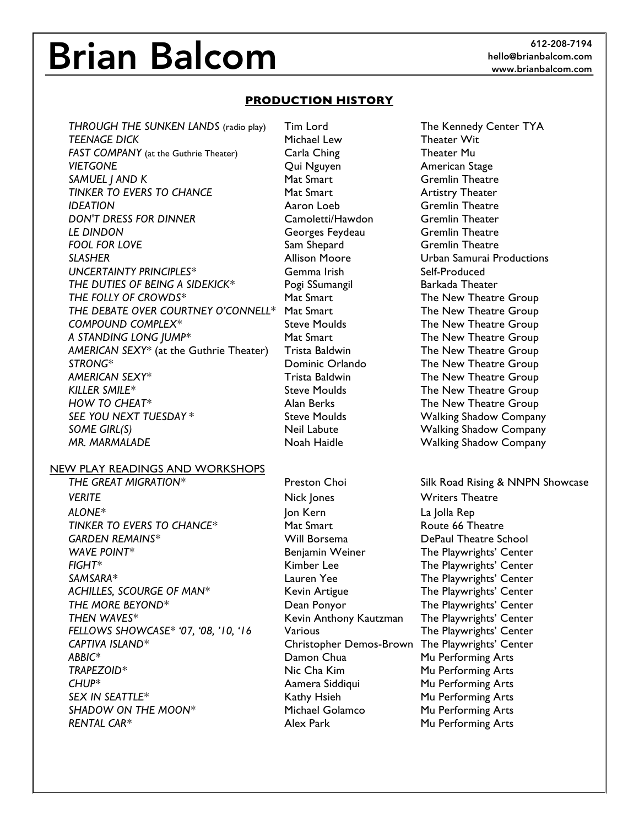# **Brian Balcom**

## **PRODUCTION HISTORY**

*THROUGH THE SUNKEN LANDS* (radio play) Tim Lord The Kennedy Center TYA **TEENAGE DICK** Michael Lew Theater Wit *FAST COMPANY* (at the Guthrie Theater) **Carla Ching Theater Mu** *VIETGONE* Qui Nguyen American Stage **SAMUEL J AND K** Mat Smart Gremlin Theatre **TINKER TO EVERS TO CHANCE** Mat Smart Mathematic Artistry Theater **IDEATION CONSUMING CONSUMINGLY A A A CONSUMING A CONSUMING CONSUMING A CONSUMING CONSUMING A CONSUMING CONSUMING A CONSUMING CONSUMING A CONSUMING CONSUMING A CONSUMING CONSUMING CONSUMING A CONSUMING CONSUMIN** *DON'T DRESS FOR DINNER* Camoletti/Hawdon Gremlin Theater *LE DINDON* Georges Feydeau Gremlin Theatre **FOOL FOR LOVE** Sam Shepard Gremlin Theatre *SLASHER* Allison Moore Urban Samurai Productions *UNCERTAINTY PRINCIPLES\** Gemma Irish Self-Produced **THE DUTIES OF BEING A SIDEKICK\*** Pogi SSumangil Barkada Theater THE FOLLY OF CROWDS<sup>\*</sup> The New Theatre Group *THE DEBATE OVER COURTNEY O'CONNELL\** Mat Smart **The New Theatre Group** *COMPOUND COMPLEX\** Steve Moulds The New Theatre Group *A STANDING LONG JUMP\** Mat Smart The New Theatre Group *AMERICAN SEXY\** (at the Guthrie Theater) Trista Baldwin The New Theatre Group *STRONG\** Dominic Orlando The New Theatre Group *AMERICAN SEXY\** Trista Baldwin The New Theatre Group KILLER SMILE<sup>\*</sup> Steve Moulds The New Theatre Group *HOW TO CHEAT\** Alan Berks The New Theatre Group *SEE YOU NEXT TUESDAY* \* Steve Moulds Walking Shadow Company **SOME GIRL(S) Neil Labute** Walking Shadow Company **New York** 

#### NEW PLAY READINGS AND WORKSHOPS

**VERITE Nick Jones** Writers Theatre *ALONE\** Jon Kern La Jolla Rep **TINKER TO EVERS TO CHANCE\*** Mat Smart Mat Smart Route 66 Theatre *GARDEN REMAINS\** Will Borsema DePaul Theatre School WAVE POINT<sup>\*</sup> The Playwrights' Center **Benjamin Weiner** The Playwrights' Center *FIGHT\** Kimber Lee The Playwrights' Center *SAMSARA\** Lauren Yee The Playwrights' Center *ACHILLES, SCOURGE OF MAN\** Kevin Artigue The Playwrights' Center *THE MORE BEYOND\** Dean Ponyor The Playwrights' Center *THEN WAVES\** Kevin Anthony Kautzman The Playwrights' Center *FELLOWS SHOWCASE\* '07, '08, '10, '16* Various The Playwrights' Center *CAPTIVA ISLAND\** Christopher Demos-Brown The Playwrights' Center ABBIC<sup>\*</sup> 2008 **Damon Chua** Mu Performing Arts **TRAPEZOID\* Nic Cha Kim Mu Performing Arts** *CHUP\** Aamera Siddiqui Mu Performing Arts *SEX IN SEATTLE\** Kathy Hsieh Mu Performing Arts *SHADOW ON THE MOON\** Michael Golamco Mu Performing Arts **RENTAL CAR\* Alex Park Mu Performing Arts Alex Park** Mu Performing Arts

AR. MARMALADE **Noah Haidle** Manness Market Market Market Market Market Market Market Market Market Market Market M

*THE GREAT MIGRATION\** Preston Choi Silk Road Rising & NNPN Showcase